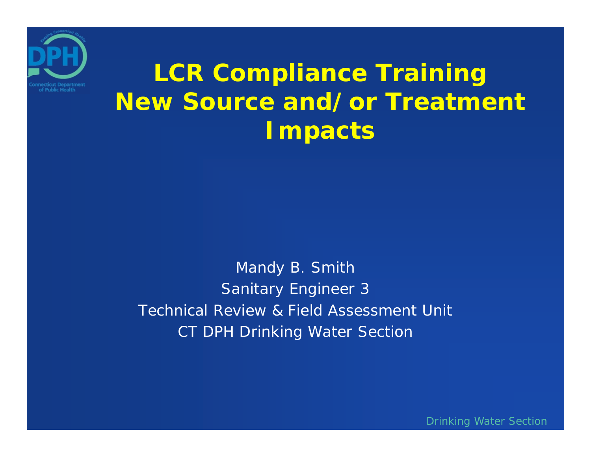

#### **LCR Compliance Training New Source and/or Treatment Impacts**

Mandy B. Smith Sanitary Engineer 3 Technical Review & Field Assessment UnitCT DPH Drinking Water Section

Drinking Water Section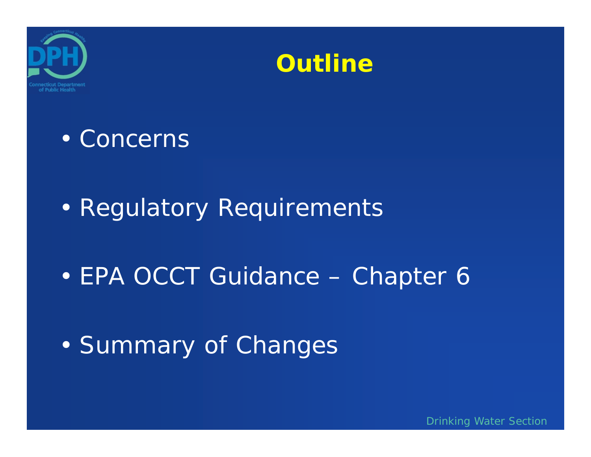



#### • Concerns

#### • Regulatory Requirements

#### •EPA OCCT Guidance – Chapter 6

#### •Summary of Changes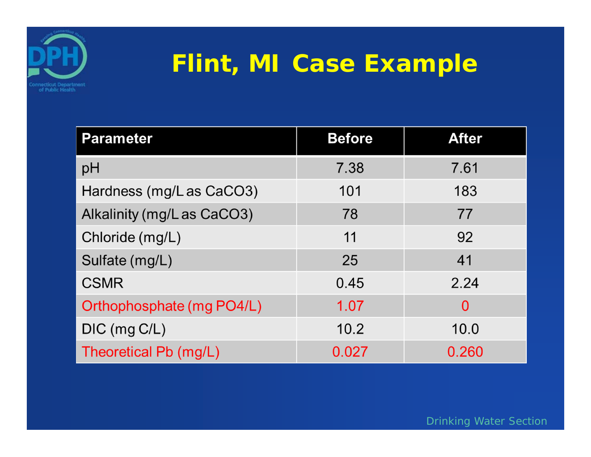

#### **Flint, MI Case Example**

| <b>Parameter</b>           | <b>Before</b> | <b>After</b> |
|----------------------------|---------------|--------------|
| pH                         | 7.38          | 7.61         |
| Hardness (mg/L as CaCO3)   | 101           | 183          |
| Alkalinity (mg/L as CaCO3) | 78            | 77           |
| Chloride (mg/L)            | 11            | 92           |
| Sulfate (mg/L)             | 25            | 41           |
| <b>CSMR</b>                | 0.45          | 2.24         |
| Orthophosphate (mg PO4/L)  | 1.07          | $\Omega$     |
| DIC (mg C/L)               | 10.2          | 10.0         |
| Theoretical Pb (mg/L)      | 0.027         | 0.260        |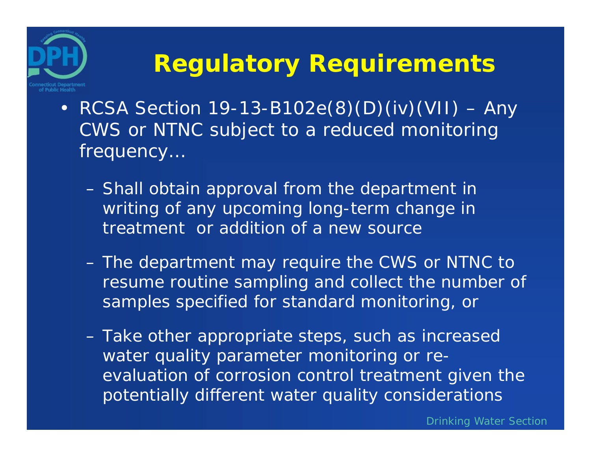## **Regulatory Requirements**

• RCSA Section 19-13-B102e(8)(D)(iv)(VII) – Any CWS or NTNC subject to a reduced monitoring frequency…

of Public Health

- – Shall obtain approval from the department in writing of any upcoming long-term change in treatment or addition of a new source
- – The department may require the CWS or NTNC to resume routine sampling and collect the number of samples specified for standard monitoring, or
- – Take other appropriate steps, such as increased water quality parameter monitoring or reevaluation of corrosion control treatment given the potentially different water quality considerations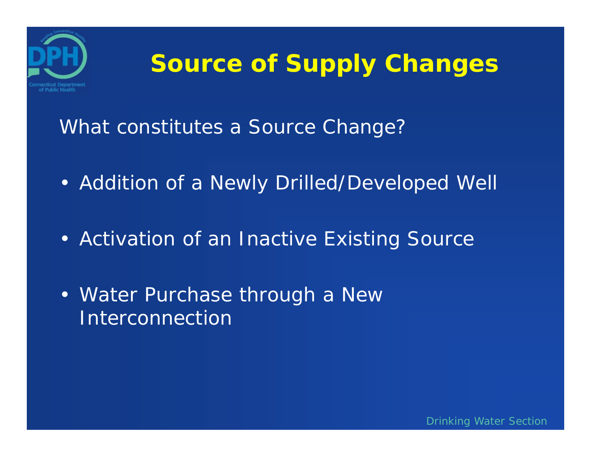

#### **Source of Supply Changes**

What constitutes a Source Change?

- Addition of a Newly Drilled/Developed Well
- Activation of an Inactive Existing Source
- Water Purchase through a New Interconnection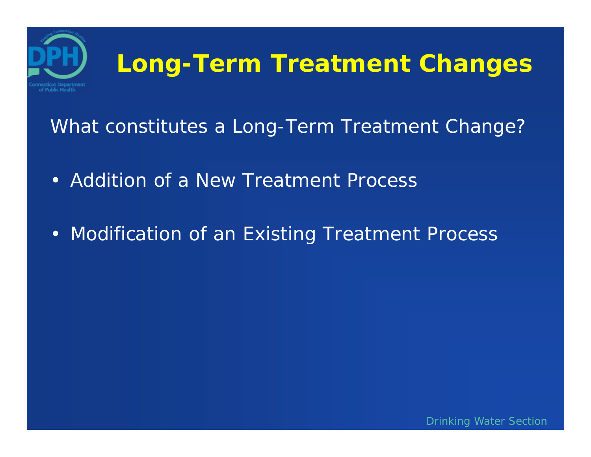

What constitutes a Long-Term Treatment Change?

- Addition of a New Treatment Process
- Modification of an Existing Treatment Process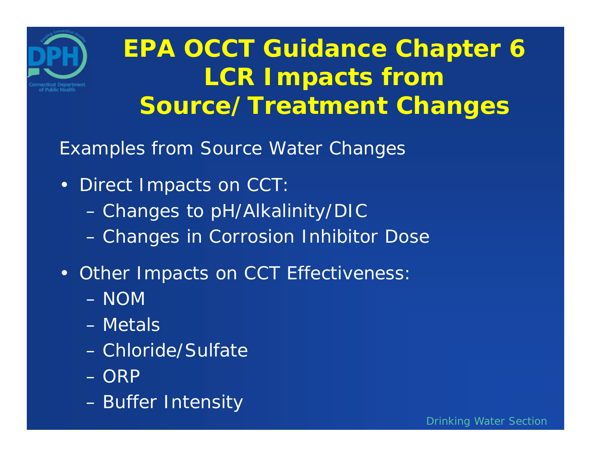

### **EPA OCCT Guidance Chapter 6 LCR Impacts from Source/Treatment Changes**

Examples from Source Water Changes

- Direct Impacts on CCT:
	- –Changes to pH/Alkalinity/DIC
	- Changes in Corrosion Inhibitor Dose
- Other Impacts on CCT Effectiveness:
	- NOM
	- Metals
	- Chloride/Sulfate
	- ORP
	- –Buffer Intensity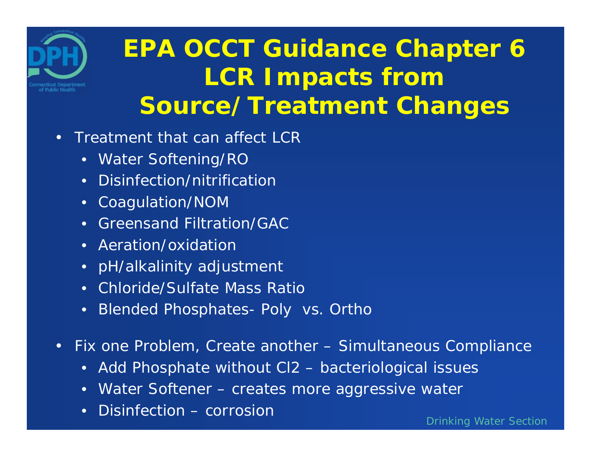

## **EPA OCCT Guidance Chapter 6 LCR Impacts from Source/Treatment Changes**

- Treatment that can affect LCR
	- Water Softening/RO
	- Disinfection/nitrification
	- Coagulation/NOM
	- Greensand Filtration/GAC
	- Aeration/oxidation
	- pH/alkalinity adjustment
	- Chloride/Sulfate Mass Ratio
	- $\bullet$ Blended Phosphates- Poly vs. Ortho
- • Fix one Problem, Create another – Simultaneous Compliance
	- $\bullet$ Add Phosphate without Cl2 – bacteriological issues
	- Water Softener creates more aggressive water
	- $\bullet$ Disinfection – corrosion

Drinking Water Section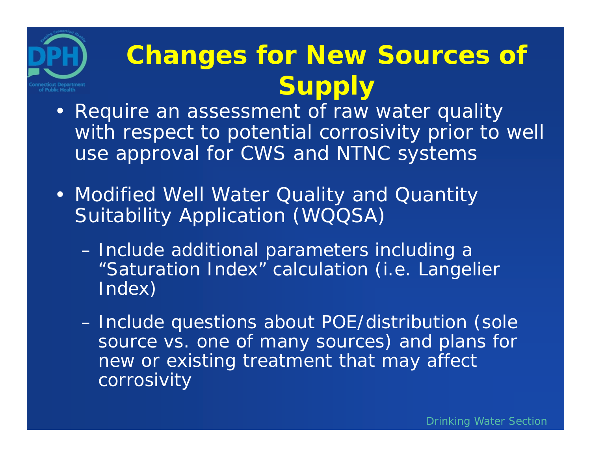## **Changes for New Sources of Supply**

- Require an assessment of raw water quality with respect to potential corrosivity prior to well use approval for CWS and NTNC systems
- Modified Well Water Quality and Quantity Suitability Application (WQQSA)

of Public Health

- – Include additional parameters including a "Saturation Index" calculation (i.e. Langelier Index)
- – Include questions about POE/distribution (sole source vs. one of many sources) and plans for new or existing treatment that may affect corrosivity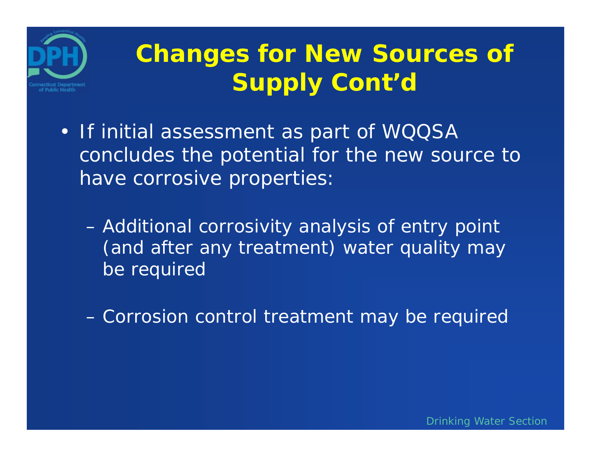

## **Changes for New Sources of Supply Cont'd**

- If initial assessment as part of WQQSA concludes the potential for the new source to have corrosive properties:
	- – Additional corrosivity analysis of entry point (and after any treatment) water quality may be required

–Corrosion control treatment may be required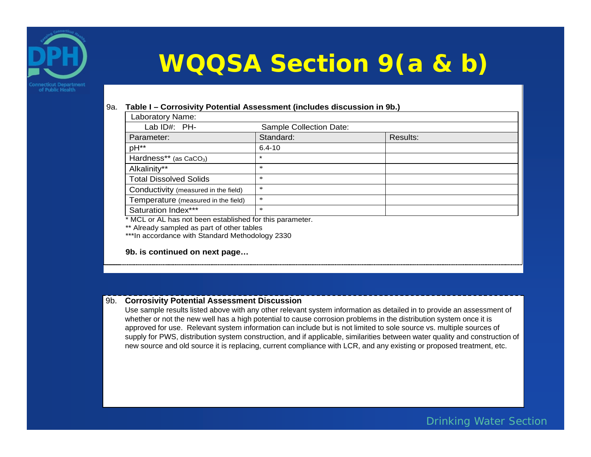

## **WQQSA Section 9(a & b)**

#### 9a. **Table I – Corrosivity Potential Assessment (includes discussion in 9b.)**

| Laboratory Name:                                        |                         |          |  |
|---------------------------------------------------------|-------------------------|----------|--|
| Lab ID#: PH-                                            | Sample Collection Date: |          |  |
| Parameter:                                              | Standard:               | Results: |  |
| pH <sup>**</sup>                                        | $6.4 - 10$              |          |  |
| Hardness** (as $CaCO3$ )                                | $\star$                 |          |  |
| Alkalinity**                                            | $\ast$                  |          |  |
| <b>Total Dissolved Solids</b>                           | $\ast$                  |          |  |
| Conductivity (measured in the field)                    | $\ast$                  |          |  |
| Temperature (measured in the field)                     | $\ast$                  |          |  |
| Saturation Index***                                     | $\ast$                  |          |  |
| * MCL or AL has not boon ostablished for this parameter |                         |          |  |

MCL or AL has not been established for this parameter.

\*\* Already sampled as part of other tables

\*\*\*In accordance with Standard Methodology 2330

**9b. is continued on next page…** 

#### 9b. **Corrosivity Potential Assessment Discussion**

Use sample results listed above with any other relevant system information as detailed in to provide an assessment of whether or not the new well has a high potential to cause corrosion problems in the distribution system once it is approved for use. Relevant system information can include but is not limited to sole source vs. multiple sources of supply for PWS, distribution system construction, and if applicable, similarities between water quality and construction of new source and old source it is replacing, current compliance with LCR, and any existing or proposed treatment, etc.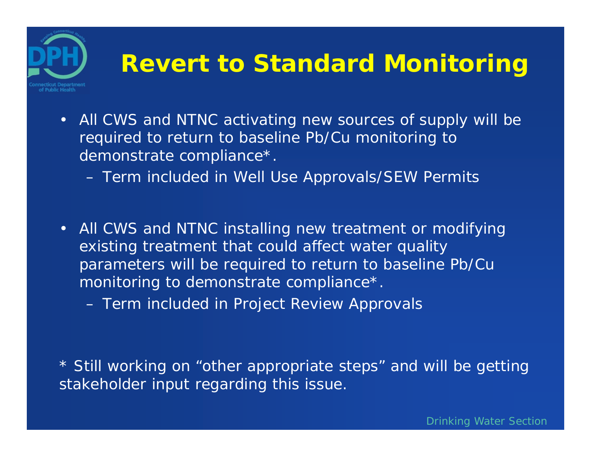# of Public Health

#### **Revert to Standard Monitoring**

- All CWS and NTNC activating new sources of supply will be required to return to baseline Pb/Cu monitoring to demonstrate compliance\*.
	- Term included in Well Use Approvals/SEW Permits
- All CWS and NTNC installing new treatment or modifying existing treatment that could affect water quality parameters will be required to return to baseline Pb/Cu monitoring to demonstrate compliance\*.
	- –Term included in Project Review Approvals

\* Still working on "other appropriate steps" and will be getting stakeholder input regarding this issue.